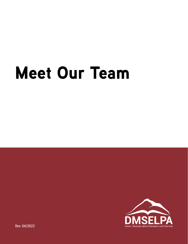# Meet Our Team



Rev. 04/2022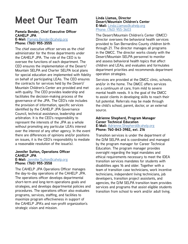## **Meet Our Team**

#### **Pamela Bender, Chief Executive Officer CAHELP JPA E-Mail:** Pamela.Bende[r@cahelp.org](mailto:Pamelan.Bender%40cahelp.org?subject=)

**Phone: (760) 955-3555**

The chief executive officer serves as the chief administrator for the three departments under the CAHELP JPA. The role of the CEO is to oversee the functions of each department. The CEO ensures the implementation of the Desert/ Mountain SELPA and Charter SELPA local plans for special education are implemented with fidelity on behalf of participating LEAs. The CEO ensures the contracts for services held by the Desert/ Mountain Children's Center are provided and met with quality. The CEO provides leadership and facilitates the decision-making process of the governance of the JPA. The CEO's role includes the provision of information, specific services identified by the CAHELP JPA Governance Council, technical assistance, leadership and arbitration. It is the CEO's responsibility to represent the interests of the JPA as a whole without promoting any particular LEA's interest over the interest of any other agency. In the event there are differences of opinions and/or positions on issues, it is the CEO's responsibility to mediate a reasonable resolution of the issue(s).

#### **Jennifer Sutton, Operations Officer CAHELP JPA E-Mail:** [Jennifer.Sutton@cahelp.org](mailto:Jennifer.Sutton%40cahelp.org?subject=)

**Phone: (760) 955-3558**

The CAHELP JPA Operations Officer manages the day-to-day operations of the CAHELP JPA. The operations officer develops departmental short-term and long-term operations goals and strategies, and develops departmental policies and procedures. The operations officer also evaluates programs, services, staffing, and facilities to maximize program effectiveness in support of the CAHELP JPA's and non-profit organization's strategic vision and mission.

#### **Linda Llamas, Director Desert/Mountain Children's Center E-Mail:** [Linda.Llamas@cahelp.org](mailto:Linda.Llamas%40cahelp.org%0D?subject=) [Phone: \(760\) 955-3603](mailto:Linda.Llamas%40cahelp.org%0D?subject=)

The Desert/Mountain Children's Center (DMCC) Director oversees the behavioral health services provided to San Bernardino County children birth through 21. The director manages all programs in the DMCC. The director works closely with the Desert/Mountain SELPA personnel to monitor and assess behavioral health topics that affect children and LEAs; and evaluates and formulates department priorities and recommends department operation strategies.

Services are provided at the DMCC clinic, schools, and/or in the home. The DMCC offers services on a continuum of care, from mild to severe mental health needs. It is the goal of the DMCC to assist clients in developing skills to reach their full potential. Referrals may be made through the child's school, parent, doctor, or an external source.

#### **Adrienne Shepherd, Program Manager Career Technical Education E-Mail:** [Adrienne.Shepherd@cahelp.org](mailto:Adrienne.Shepherd%40cahelp.org%0D?subject=) **Phone: 760-843-3982, ext. 216**

Transition services is under the department of the D/M SELPA and is coordinated and managed by the program manager for Career Technical Education. The program manager provides oversight regarding the legal mandates and ethical requirements necessary to meet the IDEA transition services mandates for students with disabilities ages 16 and older. Together with a team of transition case technicians, work incentive technicians, independent living technicians, job developers, transition project assistants, and agencies, the D/M SELPA transition team provides services and programs that assist eligible students transition from school to work and/or adult living.